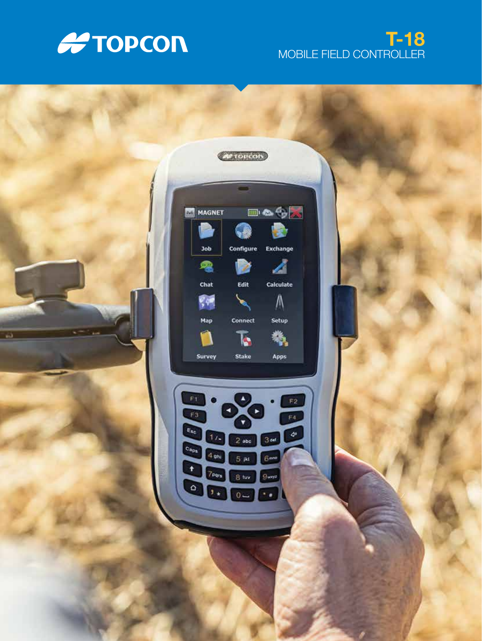

# T-18 MOBILE FIELD CONTROLLER